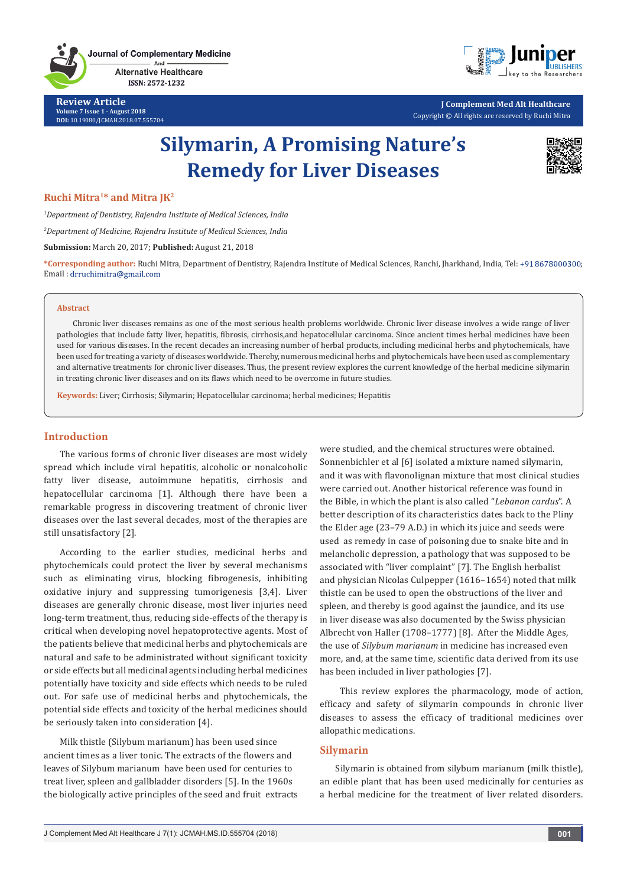**Journal of Complementary Medicine** And

> **Alternative Healthcare** ISSN: 2572-1232

**Review Article Volume 7 Issue 1 - August 2018 DOI:** [10.19080/JCMAH.2018.07.555704](http://dx.doi.org/10.19080/JCMAH.2018.07.555704)



**J Complement Med Alt Healthcare** Copyright © All rights are reserved by Ruchi Mitra

# **Silymarin, A Promising Nature's Remedy for Liver Diseases**



#### **Ruchi Mitra1\* and Mitra JK2**

*1 Department of Dentistry, Rajendra Institute of Medical Sciences, India*

*2 Department of Medicine, Rajendra Institute of Medical Sciences, India*

**Submission:** March 20, 2017; **Published:** August 21, 2018

**\*Corresponding author:** Ruchi Mitra, Department of Dentistry, Rajendra Institute of Medical Sciences, Ranchi, Jharkhand, India, Tel: ; Email: drruchimitra@gmail.com

#### **Abstract**

Chronic liver diseases remains as one of the most serious health problems worldwide. Chronic liver disease involves a wide range of liver pathologies that include fatty liver, hepatitis, fibrosis, cirrhosis,and hepatocellular carcinoma. Since ancient times herbal medicines have been used for various diseases. In the recent decades an increasing number of herbal products, including medicinal herbs and phytochemicals, have been used for treating a variety of diseases worldwide. Thereby, numerous medicinal herbs and phytochemicals have been used as complementary and alternative treatments for chronic liver diseases. Thus, the present review explores the current knowledge of the herbal medicine silymarin in treating chronic liver diseases and on its flaws which need to be overcome in future studies.

**Keywords:** Liver; Cirrhosis; Silymarin; Hepatocellular carcinoma; herbal medicines; Hepatitis

## **Introduction**

The various forms of chronic liver diseases are most widely spread which include viral hepatitis, alcoholic or nonalcoholic fatty liver disease, autoimmune hepatitis, cirrhosis and hepatocellular carcinoma [1]. Although there have been a remarkable progress in discovering treatment of chronic liver diseases over the last several decades, most of the therapies are still unsatisfactory [2].

According to the earlier studies, medicinal herbs and phytochemicals could protect the liver by several mechanisms such as eliminating virus, blocking fibrogenesis, inhibiting oxidative injury and suppressing tumorigenesis [3,4]. Liver diseases are generally chronic disease, most liver injuries need long-term treatment, thus, reducing side-effects of the therapy is critical when developing novel hepatoprotective agents. Most of the patients believe that medicinal herbs and phytochemicals are natural and safe to be administrated without significant toxicity or side effects but all medicinal agents including herbal medicines potentially have toxicity and side effects which needs to be ruled out. For safe use of medicinal herbs and phytochemicals, the potential side effects and toxicity of the herbal medicines should be seriously taken into consideration [4].

Milk thistle (Silybum marianum) has been used since ancient times as a liver tonic. The extracts of the flowers and leaves of Silybum marianum have been used for centuries to treat liver, spleen and gallbladder disorders [5]. In the 1960s the biologically active principles of the seed and fruit extracts were studied, and the chemical structures were obtained. Sonnenbichler et al [6] isolated a mixture named silymarin, and it was with flavonolignan mixture that most clinical studies were carried out. Another historical reference was found in the Bible, in which the plant is also called "*Lebanon cardus*". A better description of its characteristics dates back to the Pliny the Elder age (23–79 A.D.) in which its juice and seeds were used as remedy in case of poisoning due to snake bite and in melancholic depression, a pathology that was supposed to be associated with "liver complaint" [7]. The English herbalist and physician Nicolas Culpepper (1616–1654) noted that milk thistle can be used to open the obstructions of the liver and spleen, and thereby is good against the jaundice, and its use in liver disease was also documented by the Swiss physician Albrecht von Haller (1708–1777) [8]. After the Middle Ages, the use of *Silybum marianum* in medicine has increased even more, and, at the same time, scientific data derived from its use has been included in liver pathologies [7].

 This review explores the pharmacology, mode of action, efficacy and safety of silymarin compounds in chronic liver diseases to assess the efficacy of traditional medicines over allopathic medications.

## **Silymarin**

Silymarin is obtained from silybum marianum (milk thistle), an edible plant that has been used medicinally for centuries as a herbal medicine for the treatment of liver related disorders.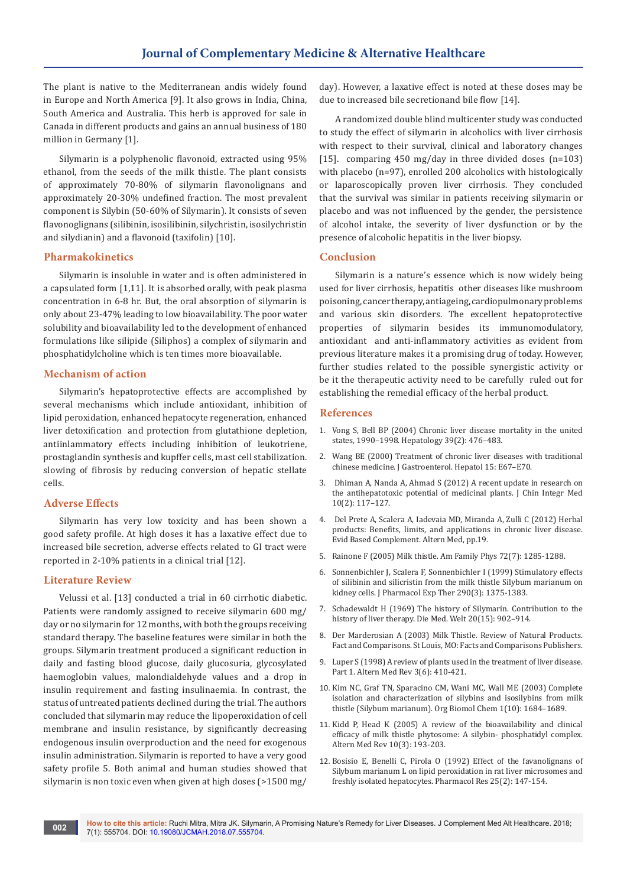The plant is native to the Mediterranean andis widely found in Europe and North America [9]. It also grows in India, China, South America and Australia. This herb is approved for sale in Canada in different products and gains an annual business of 180 million in Germany [1].

Silymarin is a polyphenolic flavonoid, extracted using 95% ethanol, from the seeds of the milk thistle. The plant consists of approximately 70-80% of silymarin flavonolignans and approximately 20-30% undefined fraction. The most prevalent component is Silybin (50-60% of Silymarin). It consists of seven flavonoglignans (silibinin, isosilibinin, silychristin, isosilychristin and silydianin) and a flavonoid (taxifolin) [10].

## **Pharmakokinetics**

Silymarin is insoluble in water and is often administered in a capsulated form [1,11]. It is absorbed orally, with peak plasma concentration in 6-8 hr. But, the oral absorption of silymarin is only about 23-47% leading to low bioavailability. The poor water solubility and bioavailability led to the development of enhanced formulations like silipide (Siliphos) a complex of silymarin and phosphatidylcholine which is ten times more bioavailable.

## **Mechanism of action**

Silymarin's hepatoprotective effects are accomplished by several mechanisms which include antioxidant, inhibition of lipid peroxidation, enhanced hepatocyte regeneration, enhanced liver detoxification and protection from glutathione depletion, antiinlammatory effects including inhibition of leukotriene, prostaglandin synthesis and kupffer cells, mast cell stabilization. slowing of fibrosis by reducing conversion of hepatic stellate cells.

## **Adverse Effects**

Silymarin has very low toxicity and has been shown a good safety profile. At high doses it has a laxative effect due to increased bile secretion, adverse effects related to GI tract were reported in 2-10% patients in a clinical trial [12].

## **Literature Review**

Velussi et al. [13] conducted a trial in 60 cirrhotic diabetic. Patients were randomly assigned to receive silymarin 600 mg/ day or no silymarin for 12 months, with both the groups receiving standard therapy. The baseline features were similar in both the groups. Silymarin treatment produced a significant reduction in daily and fasting blood glucose, daily glucosuria, glycosylated haemoglobin values, malondialdehyde values and a drop in insulin requirement and fasting insulinaemia. In contrast, the status of untreated patients declined during the trial. The authors concluded that silymarin may reduce the lipoperoxidation of cell membrane and insulin resistance, by significantly decreasing endogenous insulin overproduction and the need for exogenous insulin administration. Silymarin is reported to have a very good safety profile 5. Both animal and human studies showed that silymarin is non toxic even when given at high doses (>1500 mg/

day). However, a laxative effect is noted at these doses may be due to increased bile secretionand bile flow [14].

A randomized double blind multicenter study was conducted to study the effect of silymarin in alcoholics with liver cirrhosis with respect to their survival, clinical and laboratory changes [15]. comparing 450 mg/day in three divided doses (n=103) with placebo (n=97), enrolled 200 alcoholics with histologically or laparoscopically proven liver cirrhosis. They concluded that the survival was similar in patients receiving silymarin or placebo and was not influenced by the gender, the persistence of alcohol intake, the severity of liver dysfunction or by the presence of alcoholic hepatitis in the liver biopsy.

## **Conclusion**

Silymarin is a nature's essence which is now widely being used for liver cirrhosis, hepatitis other diseases like mushroom poisoning, cancer therapy, antiageing, cardiopulmonary problems and various skin disorders. The excellent hepatoprotective properties of silymarin besides its immunomodulatory, antioxidant and anti-inflammatory activities as evident from previous literature makes it a promising drug of today. However, further studies related to the possible synergistic activity or be it the therapeutic activity need to be carefully ruled out for establishing the remedial efficacy of the herbal product.

## **References**

- 1. [Vong S, Bell BP \(2004\) Chronic liver disease mortality in the united](https://www.ncbi.nlm.nih.gov/pubmed/14768001)  [states, 1990–1998. Hepatology 39\(2\): 476–483.](https://www.ncbi.nlm.nih.gov/pubmed/14768001)
- 2. [Wang BE \(2000\) Treatment of chronic liver diseases with traditional](https://www.ncbi.nlm.nih.gov/pubmed/10921385)  [chinese medicine. J Gastroenterol. Hepatol 15: E67–E70.](https://www.ncbi.nlm.nih.gov/pubmed/10921385)
- 3. [Dhiman A, Nanda A, Ahmad S \(2012\) A recent update in research on](https://www.ncbi.nlm.nih.gov/pubmed/22313878)  [the antihepatotoxic potential of medicinal plants. J Chin Integr Med](https://www.ncbi.nlm.nih.gov/pubmed/22313878)  [10\(2\): 117–127.](https://www.ncbi.nlm.nih.gov/pubmed/22313878)
- 4. [Del Prete A, Scalera A, Iadevaia MD, Miranda A, Zulli C \(2012\) Herbal](https://www.hindawi.com/journals/ecam/2012/837939/)  [products: Benefits, limits, and applications in chronic liver disease.](https://www.hindawi.com/journals/ecam/2012/837939/)  [Evid Based Complement. Altern Med, pp.19.](https://www.hindawi.com/journals/ecam/2012/837939/)
- 5. [Rainone F \(2005\) Milk thistle. Am Family Phys 72\(7\): 1285-1288.](https://www.ncbi.nlm.nih.gov/pubmed/16225032)
- 6. [Sonnenbichler J, Scalera F, Sonnenbichler I \(1999\) Stimulatory effects](https://www.ncbi.nlm.nih.gov/pubmed/10454517)  [of silibinin and silicristin from the milk thistle Silybum marianum on](https://www.ncbi.nlm.nih.gov/pubmed/10454517)  [kidney cells. J Pharmacol Exp Ther 290\(3\): 1375-1383.](https://www.ncbi.nlm.nih.gov/pubmed/10454517)
- 7. [Schadewaldt H \(1969\) The history of Silymarin. Contribution to the](https://www.ncbi.nlm.nih.gov/pubmed/5784380)  [history of liver therapy. Die Med. Welt 20\(15\): 902–914.](https://www.ncbi.nlm.nih.gov/pubmed/5784380)
- 8. Der Marderosian A (2003) Milk Thistle. Review of Natural Products. Fact and Comparisons. St Louis, MO: Facts and Comparisons Publishers.
- 9. [Luper S \(1998\) A review of plants used in the treatment of liver disease.](https://www.ncbi.nlm.nih.gov/pubmed/9855566)  [Part 1. Altern Med Rev 3\(6\): 410-421.](https://www.ncbi.nlm.nih.gov/pubmed/9855566)
- 10. [Kim NC, Graf TN, Sparacino CM, Wani MC, Wall ME \(2003\) Complete](https://www.ncbi.nlm.nih.gov/pubmed/12926355)  [isolation and characterization of silybins and isosilybins from milk](https://www.ncbi.nlm.nih.gov/pubmed/12926355)  [thistle \(Silybum marianum\). Org Biomol Chem 1\(10\): 1684–1689.](https://www.ncbi.nlm.nih.gov/pubmed/12926355)
- 11. [Kidd P, Head K \(2005\) A review of the bioavailability and clinical](https://www.ncbi.nlm.nih.gov/pubmed/16164374)  [efficacy of milk thistle phytosome: A silybin- phosphatidyl complex.](https://www.ncbi.nlm.nih.gov/pubmed/16164374)  [Altern Med Rev 10\(3\): 193-203.](https://www.ncbi.nlm.nih.gov/pubmed/16164374)
- 12. [Bosisio E, Benelli C, Pirola O \(1992\) Effect of the favanolignans of](https://www.ncbi.nlm.nih.gov/pubmed/1635893)  [Silybum marianum L on lipid peroxidation in rat liver microsomes and](https://www.ncbi.nlm.nih.gov/pubmed/1635893)  [freshly isolated hepatocytes. Pharmacol Res 25\(2\): 147-154.](https://www.ncbi.nlm.nih.gov/pubmed/1635893)